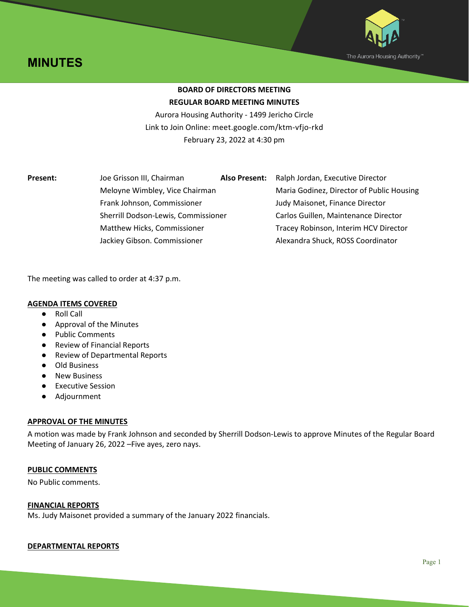



## **BOARD OF DIRECTORS MEETING REGULAR BOARD MEETING MINUTES**

Aurora Housing Authority - 1499 Jericho Circle Link to Join Online: meet.google.com/ktm-vfjo-rkd February 23, 2022 at 4:30 pm

| <b>Present:</b> | Joe Grisson III, Chairman                                     | <b>Also Present:</b> | Ralph Jordan, Executive Director          |
|-----------------|---------------------------------------------------------------|----------------------|-------------------------------------------|
|                 | Meloyne Wimbley, Vice Chairman<br>Frank Johnson, Commissioner |                      | Maria Godinez, Director of Public Housing |
|                 |                                                               |                      | Judy Maisonet, Finance Director           |
|                 | Sherrill Dodson-Lewis, Commissioner                           |                      | Carlos Guillen, Maintenance Director      |
|                 | Matthew Hicks, Commissioner                                   |                      | Tracey Robinson, Interim HCV Director     |
|                 | Jackiey Gibson. Commissioner                                  |                      | Alexandra Shuck, ROSS Coordinator         |

The meeting was called to order at 4:37 p.m.

#### **AGENDA ITEMS COVERED**

- Roll Call
- Approval of the Minutes
- Public Comments
- Review of Financial Reports
- Review of Departmental Reports
- Old Business
- New Business
- Executive Session
- Adjournment

### **APPROVAL OF THE MINUTES**

A motion was made by Frank Johnson and seconded by Sherrill Dodson-Lewis to approve Minutes of the Regular Board Meeting of January 26, 2022 –Five ayes, zero nays.

#### **PUBLIC COMMENTS**

No Public comments.

#### **FINANCIAL REPORTS**

Ms. Judy Maisonet provided a summary of the January 2022 financials.

#### **DEPARTMENTAL REPORTS**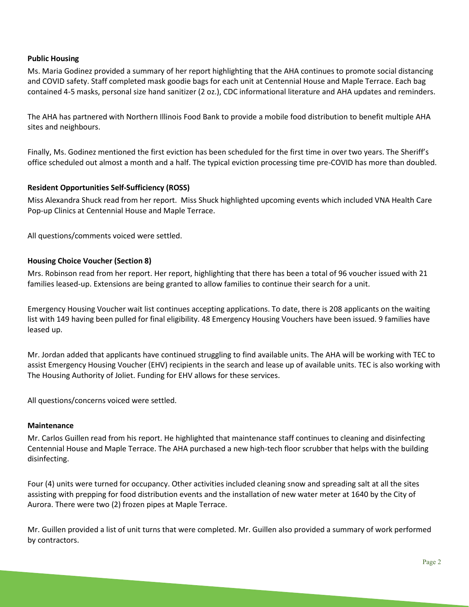#### **Public Housing**

Ms. Maria Godinez provided a summary of her report highlighting that the AHA continues to promote social distancing and COVID safety. Staff completed mask goodie bags for each unit at Centennial House and Maple Terrace. Each bag contained 4-5 masks, personal size hand sanitizer (2 oz.), CDC informational literature and AHA updates and reminders.

The AHA has partnered with Northern Illinois Food Bank to provide a mobile food distribution to benefit multiple AHA sites and neighbours.

Finally, Ms. Godinez mentioned the first eviction has been scheduled for the first time in over two years. The Sheriff's office scheduled out almost a month and a half. The typical eviction processing time pre-COVID has more than doubled.

#### **Resident Opportunities Self-Sufficiency (ROSS)**

Miss Alexandra Shuck read from her report. Miss Shuck highlighted upcoming events which included VNA Health Care Pop-up Clinics at Centennial House and Maple Terrace.

All questions/comments voiced were settled.

#### **Housing Choice Voucher (Section 8)**

Mrs. Robinson read from her report. Her report, highlighting that there has been a total of 96 voucher issued with 21 families leased-up. Extensions are being granted to allow families to continue their search for a unit.

Emergency Housing Voucher wait list continues accepting applications. To date, there is 208 applicants on the waiting list with 149 having been pulled for final eligibility. 48 Emergency Housing Vouchers have been issued. 9 families have leased up.

Mr. Jordan added that applicants have continued struggling to find available units. The AHA will be working with TEC to assist Emergency Housing Voucher (EHV) recipients in the search and lease up of available units. TEC is also working with The Housing Authority of Joliet. Funding for EHV allows for these services.

All questions/concerns voiced were settled.

#### **Maintenance**

Mr. Carlos Guillen read from his report. He highlighted that maintenance staff continues to cleaning and disinfecting Centennial House and Maple Terrace. The AHA purchased a new high-tech floor scrubber that helps with the building disinfecting.

Four (4) units were turned for occupancy. Other activities included cleaning snow and spreading salt at all the sites assisting with prepping for food distribution events and the installation of new water meter at 1640 by the City of Aurora. There were two (2) frozen pipes at Maple Terrace.

Mr. Guillen provided a list of unit turns that were completed. Mr. Guillen also provided a summary of work performed by contractors.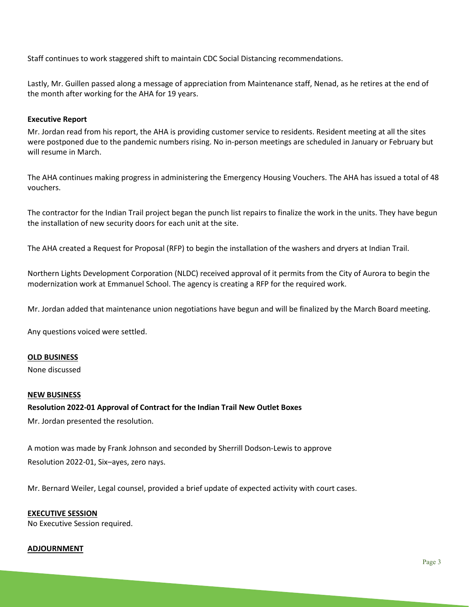Staff continues to work staggered shift to maintain CDC Social Distancing recommendations.

Lastly, Mr. Guillen passed along a message of appreciation from Maintenance staff, Nenad, as he retires at the end of the month after working for the AHA for 19 years.

#### **Executive Report**

Mr. Jordan read from his report, the AHA is providing customer service to residents. Resident meeting at all the sites were postponed due to the pandemic numbers rising. No in-person meetings are scheduled in January or February but will resume in March.

The AHA continues making progress in administering the Emergency Housing Vouchers. The AHA has issued a total of 48 vouchers.

The contractor for the Indian Trail project began the punch list repairs to finalize the work in the units. They have begun the installation of new security doors for each unit at the site.

The AHA created a Request for Proposal (RFP) to begin the installation of the washers and dryers at Indian Trail.

Northern Lights Development Corporation (NLDC) received approval of it permits from the City of Aurora to begin the modernization work at Emmanuel School. The agency is creating a RFP for the required work.

Mr. Jordan added that maintenance union negotiations have begun and will be finalized by the March Board meeting.

Any questions voiced were settled.

#### **OLD BUSINESS**

None discussed

#### **NEW BUSINESS**

#### **Resolution 2022-01 Approval of Contract for the Indian Trail New Outlet Boxes**

Mr. Jordan presented the resolution.

A motion was made by Frank Johnson and seconded by Sherrill Dodson-Lewis to approve Resolution 2022-01, Six–ayes, zero nays.

Mr. Bernard Weiler, Legal counsel, provided a brief update of expected activity with court cases.

# **EXECUTIVE SESSION**

No Executive Session required.

#### **ADJOURNMENT**